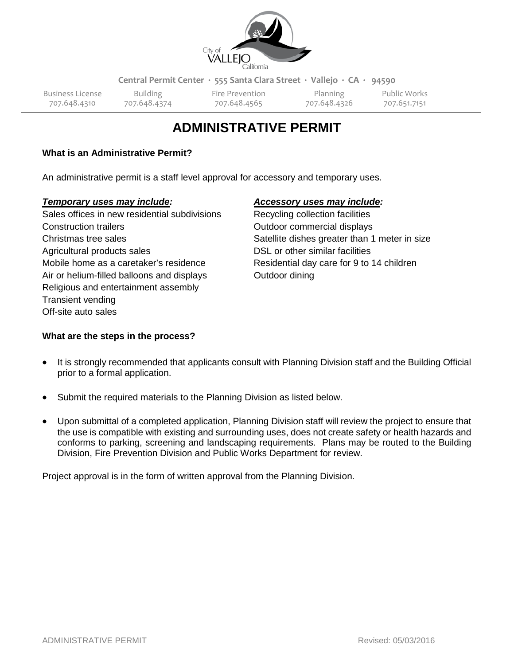

**Central Permit Center ∙ 555 Santa Clara Street ∙ Vallejo ∙ CA ∙ 94590**

Business License Building Fire Prevention Planning Public Works 707.648.4310 707.648.4374 707.648.4565 707.648.4326 707.651.7151

# **ADMINISTRATIVE PERMIT**

### **What is an Administrative Permit?**

An administrative permit is a staff level approval for accessory and temporary uses.

#### *Temporary uses may include: Accessory uses may include:*

Sales offices in new residential subdivisions Recycling collection facilities Construction trailers **Construction** trailers **Construction** commercial displays Christmas tree sales Satellite dishes greater than 1 meter in size Agricultural products sales DSL or other similar facilities Mobile home as a caretaker's residence Residential day care for 9 to 14 children Air or helium-filled balloons and displays Cutdoor dining Religious and entertainment assembly Transient vending Off-site auto sales

## **What are the steps in the process?**

- It is strongly recommended that applicants consult with Planning Division staff and the Building Official prior to a formal application.
- Submit the required materials to the Planning Division as listed below.
- Upon submittal of a completed application, Planning Division staff will review the project to ensure that the use is compatible with existing and surrounding uses, does not create safety or health hazards and conforms to parking, screening and landscaping requirements. Plans may be routed to the Building Division, Fire Prevention Division and Public Works Department for review.

Project approval is in the form of written approval from the Planning Division.